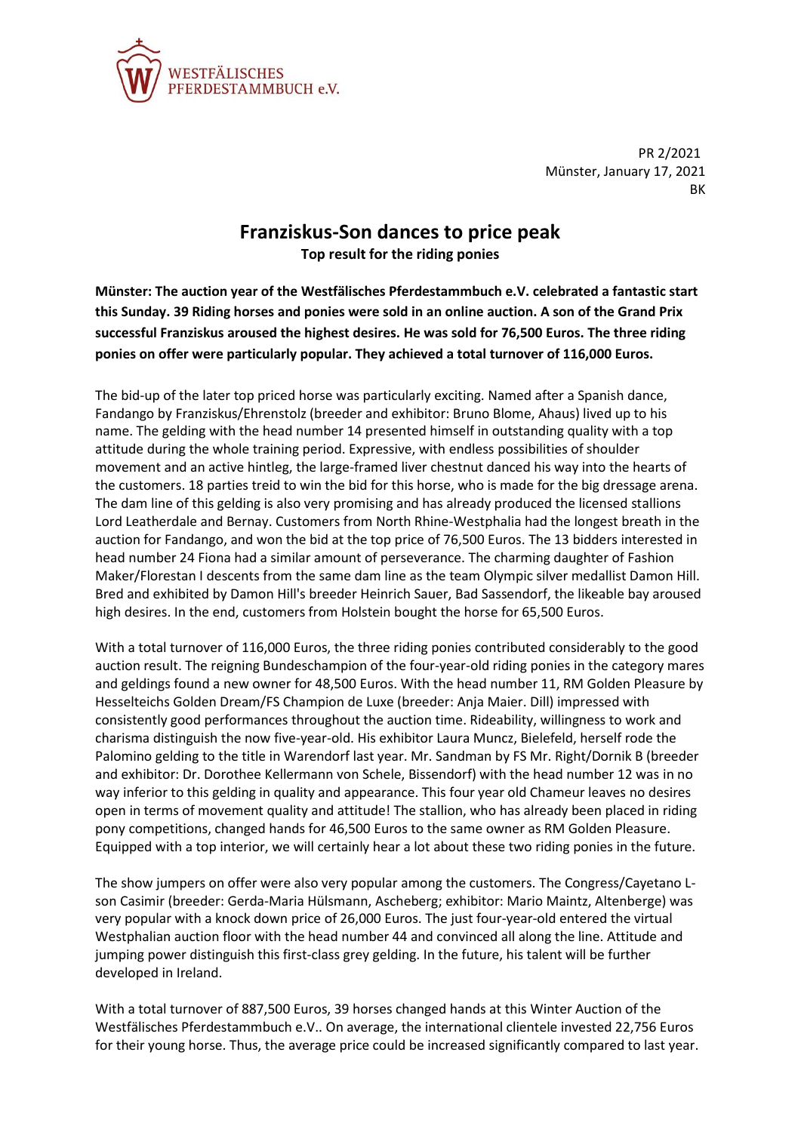

PR 2/2021 Münster, January 17, 2021 **RK** 

## **Franziskus-Son dances to price peak Top result for the riding ponies**

**Münster: The auction year of the Westfälisches Pferdestammbuch e.V. celebrated a fantastic start this Sunday. 39 Riding horses and ponies were sold in an online auction. A son of the Grand Prix successful Franziskus aroused the highest desires. He was sold for 76,500 Euros. The three riding ponies on offer were particularly popular. They achieved a total turnover of 116,000 Euros.**

The bid-up of the later top priced horse was particularly exciting. Named after a Spanish dance, Fandango by Franziskus/Ehrenstolz (breeder and exhibitor: Bruno Blome, Ahaus) lived up to his name. The gelding with the head number 14 presented himself in outstanding quality with a top attitude during the whole training period. Expressive, with endless possibilities of shoulder movement and an active hintleg, the large-framed liver chestnut danced his way into the hearts of the customers. 18 parties treid to win the bid for this horse, who is made for the big dressage arena. The dam line of this gelding is also very promising and has already produced the licensed stallions Lord Leatherdale and Bernay. Customers from North Rhine-Westphalia had the longest breath in the auction for Fandango, and won the bid at the top price of 76,500 Euros. The 13 bidders interested in head number 24 Fiona had a similar amount of perseverance. The charming daughter of Fashion Maker/Florestan I descents from the same dam line as the team Olympic silver medallist Damon Hill. Bred and exhibited by Damon Hill's breeder Heinrich Sauer, Bad Sassendorf, the likeable bay aroused high desires. In the end, customers from Holstein bought the horse for 65,500 Euros.

With a total turnover of 116,000 Euros, the three riding ponies contributed considerably to the good auction result. The reigning Bundeschampion of the four-year-old riding ponies in the category mares and geldings found a new owner for 48,500 Euros. With the head number 11, RM Golden Pleasure by Hesselteichs Golden Dream/FS Champion de Luxe (breeder: Anja Maier. Dill) impressed with consistently good performances throughout the auction time. Rideability, willingness to work and charisma distinguish the now five-year-old. His exhibitor Laura Muncz, Bielefeld, herself rode the Palomino gelding to the title in Warendorf last year. Mr. Sandman by FS Mr. Right/Dornik B (breeder and exhibitor: Dr. Dorothee Kellermann von Schele, Bissendorf) with the head number 12 was in no way inferior to this gelding in quality and appearance. This four year old Chameur leaves no desires open in terms of movement quality and attitude! The stallion, who has already been placed in riding pony competitions, changed hands for 46,500 Euros to the same owner as RM Golden Pleasure. Equipped with a top interior, we will certainly hear a lot about these two riding ponies in the future.

The show jumpers on offer were also very popular among the customers. The Congress/Cayetano Lson Casimir (breeder: Gerda-Maria Hülsmann, Ascheberg; exhibitor: Mario Maintz, Altenberge) was very popular with a knock down price of 26,000 Euros. The just four-year-old entered the virtual Westphalian auction floor with the head number 44 and convinced all along the line. Attitude and jumping power distinguish this first-class grey gelding. In the future, his talent will be further developed in Ireland.

With a total turnover of 887,500 Euros, 39 horses changed hands at this Winter Auction of the Westfälisches Pferdestammbuch e.V.. On average, the international clientele invested 22,756 Euros for their young horse. Thus, the average price could be increased significantly compared to last year.